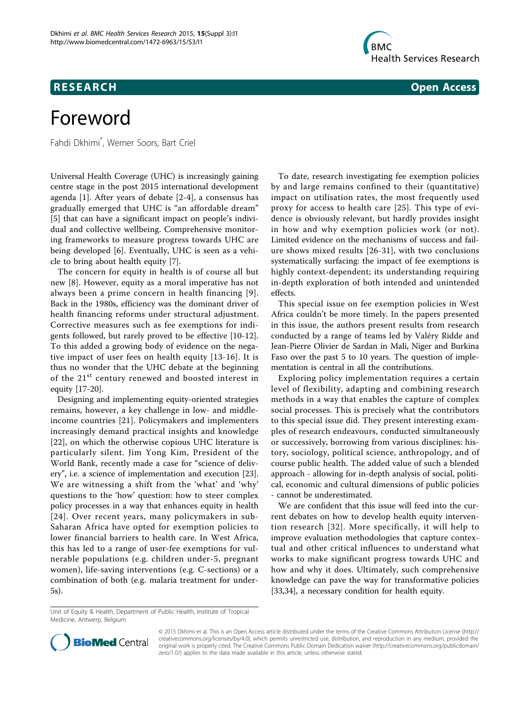



# Foreword

Fahdi Dkhimi\* , Werner Soors, Bart Criel

Universal Health Coverage (UHC) is increasingly gaining centre stage in the post 2015 international development agenda [\[1](#page-1-0)]. After years of debate [[2](#page-1-0)-[4\]](#page-1-0), a consensus has gradually emerged that UHC is "an affordable dream" [[5\]](#page-1-0) that can have a significant impact on people's individual and collective wellbeing. Comprehensive monitoring frameworks to measure progress towards UHC are being developed [\[6](#page-1-0)]. Eventually, UHC is seen as a vehicle to bring about health equity [\[7](#page-1-0)].

The concern for equity in health is of course all but new [\[8](#page-1-0)]. However, equity as a moral imperative has not always been a prime concern in health financing [[9\]](#page-1-0). Back in the 1980s, efficiency was the dominant driver of health financing reforms under structural adjustment. Corrective measures such as fee exemptions for indigents followed, but rarely proved to be effective [[10-12](#page-1-0)]. To this added a growing body of evidence on the negative impact of user fees on health equity [[13](#page-1-0)-[16](#page-1-0)]. It is thus no wonder that the UHC debate at the beginning of the 21<sup>st</sup> century renewed and boosted interest in equity [\[17-20](#page-1-0)].

Designing and implementing equity-oriented strategies remains, however, a key challenge in low- and middleincome countries [[21\]](#page-1-0). Policymakers and implementers increasingly demand practical insights and knowledge [[22](#page-1-0)], on which the otherwise copious UHC literature is particularly silent. Jim Yong Kim, President of the World Bank, recently made a case for "science of delivery", i.e. a science of implementation and execution [[23](#page-1-0)]. We are witnessing a shift from the 'what' and 'why' questions to the 'how' question: how to steer complex policy processes in a way that enhances equity in health [[24](#page-1-0)]. Over recent years, many policymakers in sub-Saharan Africa have opted for exemption policies to lower financial barriers to health care. In West Africa, this has led to a range of user-fee exemptions for vulnerable populations (e.g. children under-5, pregnant women), life-saving interventions (e.g. C-sections) or a combination of both (e.g. malaria treatment for under-5s).

To date, research investigating fee exemption policies by and large remains confined to their (quantitative) impact on utilisation rates, the most frequently used proxy for access to health care [\[25\]](#page-1-0). This type of evidence is obviously relevant, but hardly provides insight in how and why exemption policies work (or not). Limited evidence on the mechanisms of success and failure shows mixed results [[26](#page-1-0)-[31](#page-1-0)], with two conclusions systematically surfacing: the impact of fee exemptions is highly context-dependent; its understanding requiring in-depth exploration of both intended and unintended effects.

This special issue on fee exemption policies in West Africa couldn't be more timely. In the papers presented in this issue, the authors present results from research conducted by a range of teams led by Valéry Ridde and Jean-Pierre Olivier de Sardan in Mali, Niger and Burkina Faso over the past 5 to 10 years. The question of implementation is central in all the contributions.

Exploring policy implementation requires a certain level of flexibility, adapting and combining research methods in a way that enables the capture of complex social processes. This is precisely what the contributors to this special issue did. They present interesting examples of research endeavours, conducted simultaneously or successively, borrowing from various disciplines: history, sociology, political science, anthropology, and of course public health. The added value of such a blended approach - allowing for in-depth analysis of social, political, economic and cultural dimensions of public policies - cannot be underestimated.

We are confident that this issue will feed into the current debates on how to develop health equity intervention research [[32](#page-1-0)]. More specifically, it will help to improve evaluation methodologies that capture contextual and other critical influences to understand what works to make significant progress towards UHC and how and why it does. Ultimately, such comprehensive knowledge can pave the way for transformative policies [[33,34\]](#page-1-0), a necessary condition for health equity.

Unit of Equity & Health, Department of Public Health, Institute of Tropical Medicine, Antwerp, Belgium



© 2015 Dkhimi et al. This is an Open Access article distributed under the terms of the Creative Commons Attribution License [\(http://](http://creativecommons.org/licenses/by/4.0) [creativecommons.org/licenses/by/4.0](http://creativecommons.org/licenses/by/4.0)), which permits unrestricted use, distribution, and reproduction in any medium, provided the original work is properly cited. The Creative Commons Public Domain Dedication waiver ([http://creativecommons.org/publicdomain/](http://creativecommons.org/publicdomain/zero/1.0/) [zero/1.0/](http://creativecommons.org/publicdomain/zero/1.0/)) applies to the data made available in this article, unless otherwise stated.